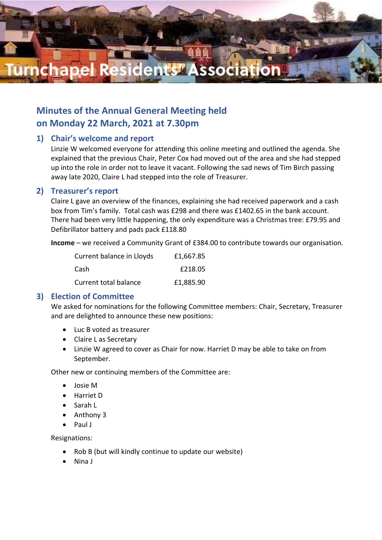

# **Minutes of the Annual General Meeting held on Monday 22 March, 2021 at 7.30pm**

# **1) Chair's welcome and report**

Linzie W welcomed everyone for attending this online meeting and outlined the agenda. She explained that the previous Chair, Peter Cox had moved out of the area and she had stepped up into the role in order not to leave it vacant. Following the sad news of Tim Birch passing away late 2020, Claire L had stepped into the role of Treasurer.

### **2) Treasurer's report**

Claire L gave an overview of the finances, explaining she had received paperwork and a cash box from Tim's family. Total cash was £298 and there was £1402.65 in the bank account. There had been very little happening, the only expenditure was a Christmas tree: £79.95 and Defibrillator battery and pads pack £118.80

**Income** – we received a Community Grant of £384.00 to contribute towards our organisation.

| Current balance in Lloyds | £1,667.85 |
|---------------------------|-----------|
| Cash                      | £218.05   |
| Current total balance     | £1,885.90 |

# **3) Election of Committee**

We asked for nominations for the following Committee members: Chair, Secretary, Treasurer and are delighted to announce these new positions:

- Luc B voted as treasurer
- Claire L as Secretary
- Linzie W agreed to cover as Chair for now. Harriet D may be able to take on from September.

Other new or continuing members of the Committee are:

- Josie M
- Harriet D
- Sarah L
- Anthony 3
- Paul J

Resignations:

- Rob B (but will kindly continue to update our website)
- Nina J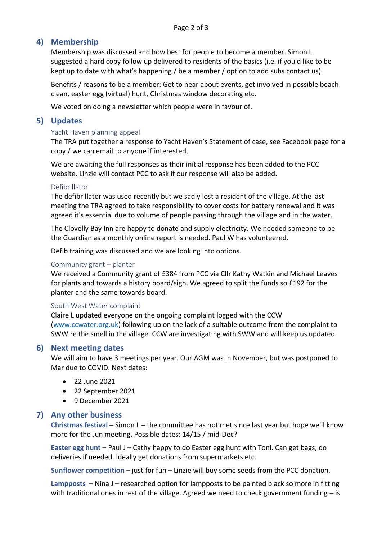# **4) Membership**

Membership was discussed and how best for people to become a member. Simon L suggested a hard copy follow up delivered to residents of the basics (i.e. if you'd like to be kept up to date with what's happening / be a member / option to add subs contact us).

Benefits / reasons to be a member: Get to hear about events, get involved in possible beach clean, easter egg (virtual) hunt, Christmas window decorating etc.

We voted on doing a newsletter which people were in favour of.

# **5) Updates**

#### Yacht Haven planning appeal

The TRA put together a response to Yacht Haven's Statement of case, see Facebook page for a copy / we can email to anyone if interested.

We are awaiting the full responses as their initial response has been added to the PCC website. Linzie will contact PCC to ask if our response will also be added.

#### Defibrillator

The defibrillator was used recently but we sadly lost a resident of the village. At the last meeting the TRA agreed to take responsibility to cover costs for battery renewal and it was agreed it's essential due to volume of people passing through the village and in the water.

The Clovelly Bay Inn are happy to donate and supply electricity. We needed someone to be the Guardian as a monthly online report is needed. Paul W has volunteered.

Defib training was discussed and we are looking into options.

#### Community grant – planter

We received a Community grant of £384 from PCC via Cllr Kathy Watkin and Michael Leaves for plants and towards a history board/sign. We agreed to split the funds so £192 for the planter and the same towards board.

#### South West Water complaint

Claire L updated everyone on the ongoing complaint logged with the CCW [\(www.ccwater.org.uk\)](http://www.ccwater.org.uk/) following up on the lack of a suitable outcome from the complaint to SWW re the smell in the village. CCW are investigating with SWW and will keep us updated.

#### **6) Next meeting dates**

We will aim to have 3 meetings per year. Our AGM was in November, but was postponed to Mar due to COVID. Next dates:

- 22 June 2021
- 22 September 2021
- 9 December 2021

#### **7) Any other business**

**Christmas festival** – Simon L – the committee has not met since last year but hope we'll know more for the Jun meeting. Possible dates: 14/15 / mid-Dec?

**Easter egg hunt** – Paul J – Cathy happy to do Easter egg hunt with Toni. Can get bags, do deliveries if needed. Ideally get donations from supermarkets etc.

**Sunflower competition** – just for fun – Linzie will buy some seeds from the PCC donation.

**Lampposts** – Nina J – researched option for lampposts to be painted black so more in fitting with traditional ones in rest of the village. Agreed we need to check government funding  $-$  is